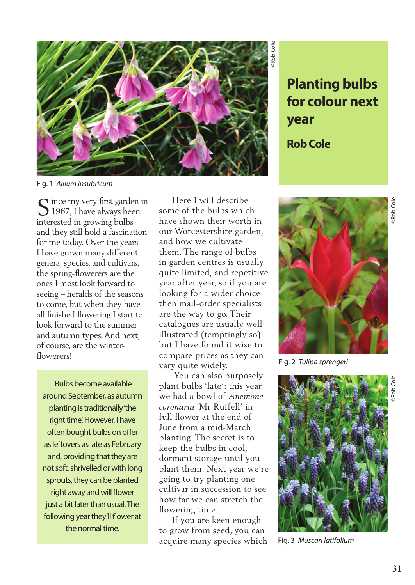

**for colour next year Rob Cole**

Fig. 1 *Allium insubricum*

S ince my very first garden in<br>1967, I have always been 1967, I have always been interested in growing bulbs and they still hold a fascination for me today. Over the years I have grown many different genera, species, and cultivars; the spring-flowerers are the ones I most look forward to seeing – heralds of the seasons to come, but when they have all finished flowering I start to look forward to the summer and autumn types. And next, of course, are the winterflowerers!

 Bulbs become available around September, as autumn planting is traditionally 'the right time'. However, I have often bought bulbs on offer as leftovers as late as February and, providing that they are not soft, shrivelled or with long sprouts, they can be planted right away and will flower just a bit later than usual. The following year they'll flower at the normal time.

 Here I will describe some of the bulbs which have shown their worth in our Worcestershire garden, and how we cultivate them. The range of bulbs in garden centres is usually quite limited, and repetitive year after year, so if you are looking for a wider choice then mail-order specialists are the way to go. Their catalogues are usually well illustrated (temptingly so) but I have found it wise to compare prices as they can vary quite widely.

 You can also purposely plant bulbs 'late': this year we had a bowl of *Anemone coronaria* 'Mr Ruffell' in full flower at the end of June from a mid-March planting. The secret is to keep the bulbs in cool, dormant storage until you plant them. Next year we're going to try planting one cultivar in succession to see how far we can stretch the flowering time.

 If you are keen enough to grow from seed, you can acquire many species which



Fig. 2 *Tulipa sprengeri* 



Fig. 3 *Muscari latifolium*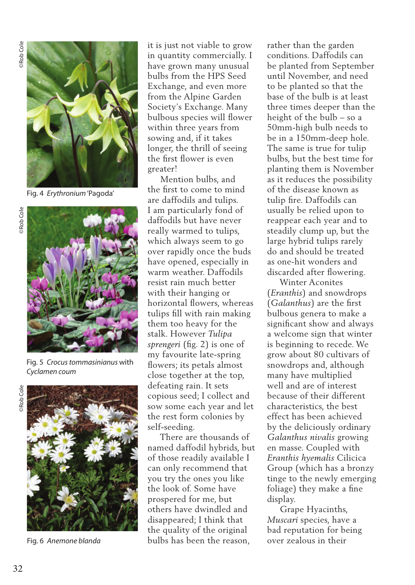

Fig. 4 *Erythronium* 'Pagoda'



Fig. 5 *Crocus tommasinianus* with *Cyclamen coum*



Fig. 6 *Anemone blanda* 

it is just not viable to grow in quantity commercially. I have grown many unusual bulbs from the HPS Seed Exchange, and even more from the Alpine Garden Society's Exchange. Many bulbous species will flower within three years from sowing and, if it takes longer, the thrill of seeing the first flower is even greater!

 Mention bulbs, and the first to come to mind are daffodils and tulips. I am particularly fond of daffodils but have never really warmed to tulips, which always seem to go over rapidly once the buds have opened, especially in warm weather. Daffodils resist rain much better with their hanging or horizontal flowers, whereas tulips fill with rain making them too heavy for the stalk. However *Tulipa sprengeri* (fig. 2) is one of my favourite late-spring flowers; its petals almost close together at the top, defeating rain. It sets copious seed; I collect and sow some each year and let the rest form colonies by self-seeding.

 There are thousands of named daffodil hybrids, but of those readily available I can only recommend that you try the ones you like the look of. Some have prospered for me, but others have dwindled and disappeared; I think that the quality of the original bulbs has been the reason,

rather than the garden conditions. Daffodils can be planted from September until November, and need to be planted so that the base of the bulb is at least three times deeper than the height of the bulb – so a 50mm-high bulb needs to be in a 150mm-deep hole. The same is true for tulip bulbs, but the best time for planting them is November as it reduces the possibility of the disease known as tulip fire. Daffodils can usually be relied upon to reappear each year and to steadily clump up, but the large hybrid tulips rarely do and should be treated as one-hit wonders and discarded after flowering.

 Winter Aconites (*Eranthis*) and snowdrops (*Galanthus*) are the first bulbous genera to make a significant show and always a welcome sign that winter is beginning to recede. We grow about 80 cultivars of snowdrops and, although many have multiplied well and are of interest because of their different characteristics, the best effect has been achieved by the deliciously ordinary *Galanthus nivalis* growing en masse. Coupled with *Eranthis hyemalis* Cilicica Group (which has a bronzy tinge to the newly emerging foliage) they make a fine display.

 Grape Hyacinths, *Muscari* species, have a bad reputation for being over zealous in their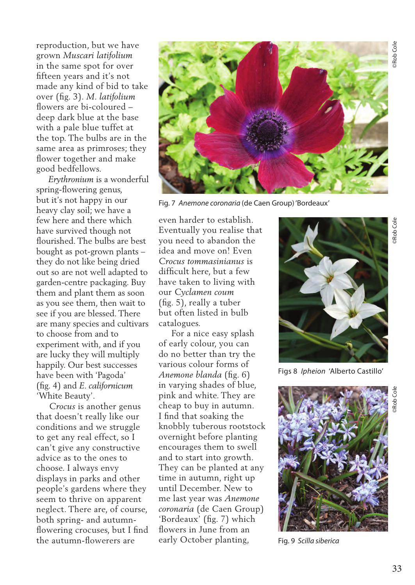©Rob Cole

Rob Col

reproduction, but we have grown *Muscari latifolium* in the same spot for over fifteen years and it's not made any kind of bid to take over (fig. 3). *M. latifolium* flowers are bi-coloured – deep dark blue at the base with a pale blue tuffet at the top. The bulbs are in the same area as primroses; they flower together and make good bedfellows.

 *Erythronium* is a wonderful spring-flowering genus, but it's not happy in our heavy clay soil; we have a few here and there which have survived though not flourished. The bulbs are best bought as pot-grown plants – they do not like being dried out so are not well adapted to garden-centre packaging. Buy them and plant them as soon as you see them, then wait to see if you are blessed. There are many species and cultivars to choose from and to experiment with, and if you are lucky they will multiply happily. Our best successes have been with 'Pagoda' (fig. 4) and *E. californicum*  'White Beauty'.

 *Crocus* is another genus that doesn't really like our conditions and we struggle to get any real effect, so I can't give any constructive advice as to the ones to choose. I always envy displays in parks and other people's gardens where they seem to thrive on apparent neglect. There are, of course, both spring- and autumnflowering crocuses, but I find the autumn-flowerers are



Fig. 7 *Anemone coronaria* (de Caen Group) 'Bordeaux'

even harder to establish. Eventually you realise that you need to abandon the idea and move on! Even *Crocus tommasinianus* is difficult here, but a few have taken to living with our *Cyclamen coum* (fig. 5), really a tuber but often listed in bulb catalogues.

 For a nice easy splash of early colour, you can do no better than try the various colour forms of *Anemone blanda* (fig. 6) in varying shades of blue, pink and white. They are cheap to buy in autumn. I find that soaking the knobbly tuberous rootstock overnight before planting encourages them to swell and to start into growth. They can be planted at any time in autumn, right up until December. New to me last year was *Anemone coronaria* (de Caen Group) 'Bordeaux' (fig. 7) which flowers in June from an early October planting,



Figs 8 *Ipheion* 'Alberto Castillo'



Fig. 9 *Scilla siberica*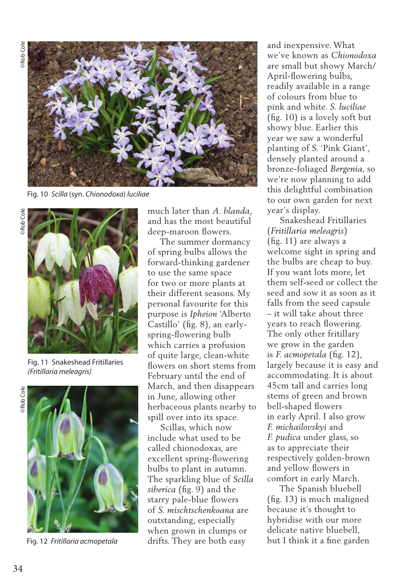

Fig. 10 *Scilla* (syn. *Chionodoxa*) *luciliae* 



Fig. 11 Snakeshead Fritillaries *(Fritillaria meleagris)* 



Fig. 12 *Fritillaria acmopetala* 

much later than *A. blanda*, and has the most beautiful deep-maroon flowers.

 The summer dormancy of spring bulbs allows the forward-thinking gardener to use the same space for two or more plants at their different seasons. My personal favourite for this purpose is *Ipheion* 'Alberto Castillo' (fig. 8), an earlyspring-flowering bulb which carries a profusion of quite large, clean-white flowers on short stems from February until the end of March, and then disappears in June, allowing other herbaceous plants nearby to spill over into its space.

 Scillas, which now include what used to be called chionodoxas, are excellent spring-flowering bulbs to plant in autumn. The sparkling blue of *Scilla siberica* (fig. 9) and the starry pale-blue flowers of *S. mischtschenkoana* are outstanding, especially when grown in clumps or drifts. They are both easy

and inexpensive. What we've known as *Chionodoxa* are small but showy March/ April-flowering bulbs, readily available in a range of colours from blue to pink and white. *S. luciliae* (fig. 10) is a lovely soft but showy blue. Earlier this year we saw a wonderful planting of S. 'Pink Giant', densely planted around a bronze-foliaged *Bergenia*, so we're now planning to add this delightful combination to our own garden for next year's display.

 Snakeshead Fritillaries (*Fritillaria meleagris*) (fig. 11) are always a welcome sight in spring and the bulbs are cheap to buy. If you want lots more, let them self-seed or collect the seed and sow it as soon as it falls from the seed capsule – it will take about three years to reach flowering. The only other fritillary we grow in the garden is *F. acmopetala* (fig. 12), largely because it is easy and accommodating. It is about 45cm tall and carries long stems of green and brown bell-shaped flowers in early April. I also grow *F. michailovskyi* and *F. pudica* under glass, so as to appreciate their respectively golden-brown and yellow flowers in comfort in early March.

 The Spanish bluebell (fig. 13) is much maligned because it's thought to hybridise with our more delicate native bluebell, but I think it a fine garden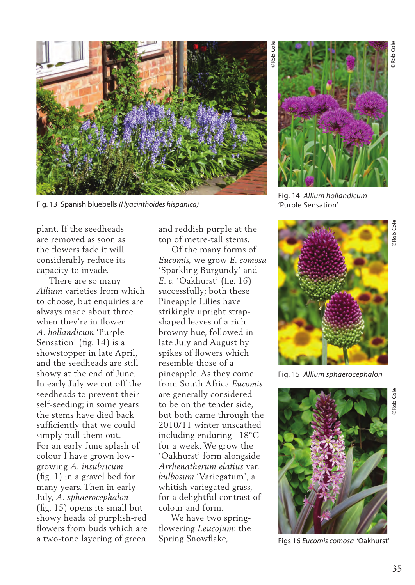

Fig. 13 Spanish bluebells *(Hyacinthoides hispanica)*

plant. If the seedheads are removed as soon as the flowers fade it will considerably reduce its capacity to invade.

 There are so many *Allium* varieties from which to choose, but enquiries are always made about three when they're in flower. *A. hollandicum* 'Purple Sensation' (fig. 14) is a showstopper in late April, and the seedheads are still showy at the end of June. In early July we cut off the seedheads to prevent their self-seeding; in some years the stems have died back sufficiently that we could simply pull them out. For an early June splash of colour I have grown lowgrowing *A. insubricum*  (fig. 1) in a gravel bed for many years. Then in early July, *A. sphaerocephalon*  (fig. 15) opens its small but showy heads of purplish-red flowers from buds which are a two-tone layering of green

and reddish purple at the top of metre-tall stems.

 Of the many forms of *Eucomis,* we grow *E. comosa* 'Sparkling Burgundy' and *E. c.* 'Oakhurst' (fig. 16) successfully; both these Pineapple Lilies have strikingly upright strapshaped leaves of a rich browny hue, followed in late July and August by spikes of flowers which resemble those of a pineapple. As they come from South Africa *Eucomis* are generally considered to be on the tender side, but both came through the 2010/11 winter unscathed including enduring –18°C for a week. We grow the 'Oakhurst' form alongside *Arrhenatherum elatius* var. *bulbosum* 'Variegatum', a whitish variegated grass, for a delightful contrast of colour and form.

 We have two springflowering *Leucojum*: the Spring Snowflake,



Fig. 14 *Allium hollandicum* 'Purple Sensation'



Fig. 15 *Allium sphaerocephalon* 



Figs 16 *Eucomis comosa* 'Oakhurst'

©Rob Cole

Rob Cole